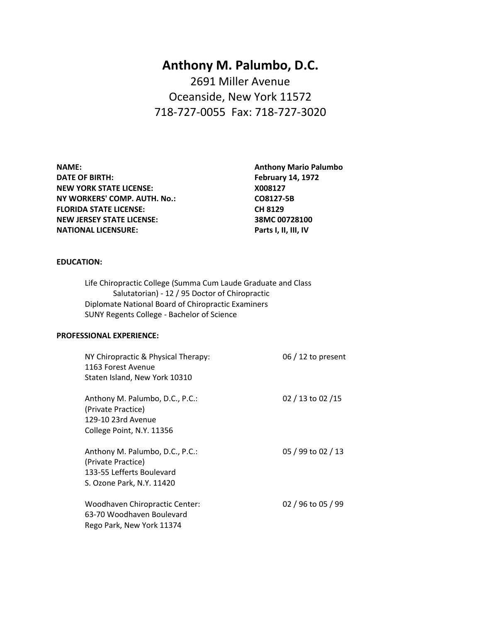# **Anthony M. Palumbo, D.C.** 2691 Miller Avenue Oceanside, New York 11572 718-727-0055 Fax: 718-727-3020

**NAME: Anthony Mario Palumbo DATE OF BIRTH: February 14, 1972 NEW YORK STATE LICENSE:** X008127 **NY WORKERS' COMP. AUTH. No.: CO8127-5B FLORIDA STATE LICENSE: CH 8129 NEW JERSEY STATE LICENSE: 38MC 00728100 NATIONAL LICENSURE: Parts I, II, III, IV**

### **EDUCATION:**

Life Chiropractic College (Summa Cum Laude Graduate and Class Salutatorian) - 12 / 95 Doctor of Chiropractic Diplomate National Board of Chiropractic Examiners SUNY Regents College - Bachelor of Science

#### **PROFESSIONAL EXPERIENCE:**

| NY Chiropractic & Physical Therapy:<br>1163 Forest Avenue<br>Staten Island, New York 10310                      | 06 $/$ 12 to present |
|-----------------------------------------------------------------------------------------------------------------|----------------------|
| Anthony M. Palumbo, D.C., P.C.:<br>(Private Practice)<br>129-10 23rd Avenue<br>College Point, N.Y. 11356        | 02 / 13 to 02 / 15   |
| Anthony M. Palumbo, D.C., P.C.:<br>(Private Practice)<br>133-55 Lefferts Boulevard<br>S. Ozone Park, N.Y. 11420 | 05 / 99 to 02 / 13   |
| Woodhaven Chiropractic Center:<br>63-70 Woodhaven Boulevard<br>Rego Park, New York 11374                        | 02 / 96 to 05 / 99   |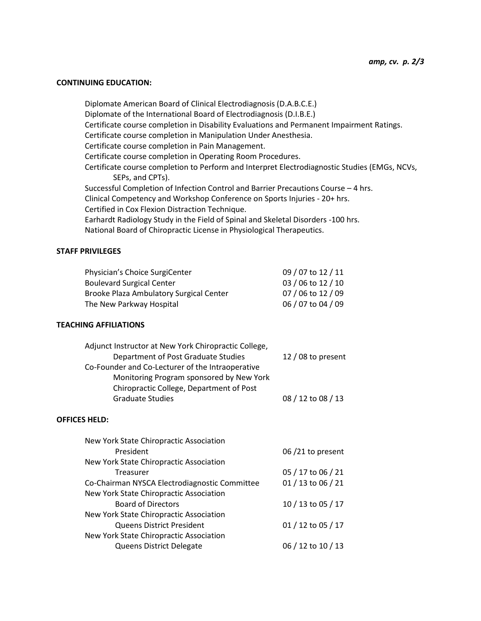#### **CONTINUING EDUCATION:**

Diplomate American Board of Clinical Electrodiagnosis (D.A.B.C.E.) Diplomate of the International Board of Electrodiagnosis (D.I.B.E.) Certificate course completion in Disability Evaluations and Permanent Impairment Ratings. Certificate course completion in Manipulation Under Anesthesia. Certificate course completion in Pain Management. Certificate course completion in Operating Room Procedures. Certificate course completion to Perform and Interpret Electrodiagnostic Studies (EMGs, NCVs, SEPs, and CPTs). Successful Completion of Infection Control and Barrier Precautions Course – 4 hrs. Clinical Competency and Workshop Conference on Sports Injuries - 20+ hrs. Certified in Cox Flexion Distraction Technique. Earhardt Radiology Study in the Field of Spinal and Skeletal Disorders -100 hrs. National Board of Chiropractic License in Physiological Therapeutics.

## **STAFF PRIVILEGES**

| Physician's Choice SurgiCenter                 | 09 / 07 to 12 / 11 |
|------------------------------------------------|--------------------|
| <b>Boulevard Surgical Center</b>               | 03 / 06 to 12 / 10 |
| <b>Brooke Plaza Ambulatory Surgical Center</b> | 07 / 06 to 12 / 09 |
| The New Parkway Hospital                       | 06 / 07 to 04 / 09 |
|                                                |                    |

#### **TEACHING AFFILIATIONS**

| Adjunct Instructor at New York Chiropractic College, |                    |
|------------------------------------------------------|--------------------|
| Department of Post Graduate Studies                  | 12 / 08 to present |
| Co-Founder and Co-Lecturer of the Intraoperative     |                    |
| Monitoring Program sponsored by New York             |                    |
| Chiropractic College, Department of Post             |                    |
| <b>Graduate Studies</b>                              | 08 / 12 to 08 / 13 |
|                                                      |                    |

#### **OFFICES HELD:**

| 06/21 to present   |
|--------------------|
|                    |
| 05 / 17 to 06 / 21 |
| 01 / 13 to 06 / 21 |
|                    |
| 10 / 13 to 05 / 17 |
|                    |
| 01 / 12 to 05 / 17 |
|                    |
| 06 / 12 to 10 / 13 |
|                    |